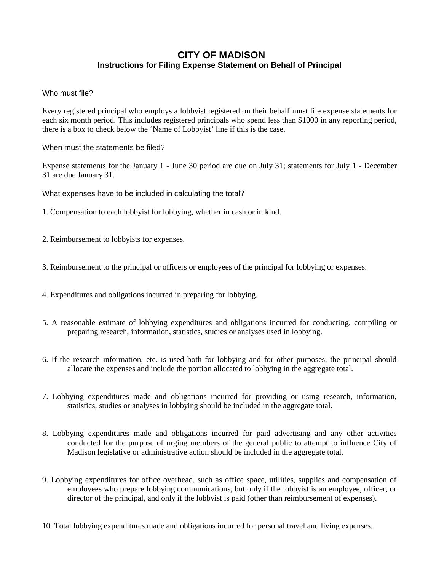## **CITY OF MADISON Instructions for Filing Expense Statement on Behalf of Principal**

Who must file?

Every registered principal who employs a lobbyist registered on their behalf must file expense statements for each six month period. This includes registered principals who spend less than \$1000 in any reporting period, there is a box to check below the 'Name of Lobbyist' line if this is the case.

When must the statements be filed?

Expense statements for the January 1 - June 30 period are due on July 31; statements for July 1 - December 31 are due January 31.

What expenses have to be included in calculating the total?

1. Compensation to each lobbyist for lobbying, whether in cash or in kind.

- 2. Reimbursement to lobbyists for expenses.
- 3. Reimbursement to the principal or officers or employees of the principal for lobbying or expenses.
- 4. Expenditures and obligations incurred in preparing for lobbying.
- 5. A reasonable estimate of lobbying expenditures and obligations incurred for conducting, compiling or preparing research, information, statistics, studies or analyses used in lobbying.
- 6. If the research information, etc. is used both for lobbying and for other purposes, the principal should allocate the expenses and include the portion allocated to lobbying in the aggregate total.
- 7. Lobbying expenditures made and obligations incurred for providing or using research, information, statistics, studies or analyses in lobbying should be included in the aggregate total.
- 8. Lobbying expenditures made and obligations incurred for paid advertising and any other activities conducted for the purpose of urging members of the general public to attempt to influence City of Madison legislative or administrative action should be included in the aggregate total.
- 9. Lobbying expenditures for office overhead, such as office space, utilities, supplies and compensation of employees who prepare lobbying communications, but only if the lobbyist is an employee, officer, or director of the principal, and only if the lobbyist is paid (other than reimbursement of expenses).
- 10. Total lobbying expenditures made and obligations incurred for personal travel and living expenses.